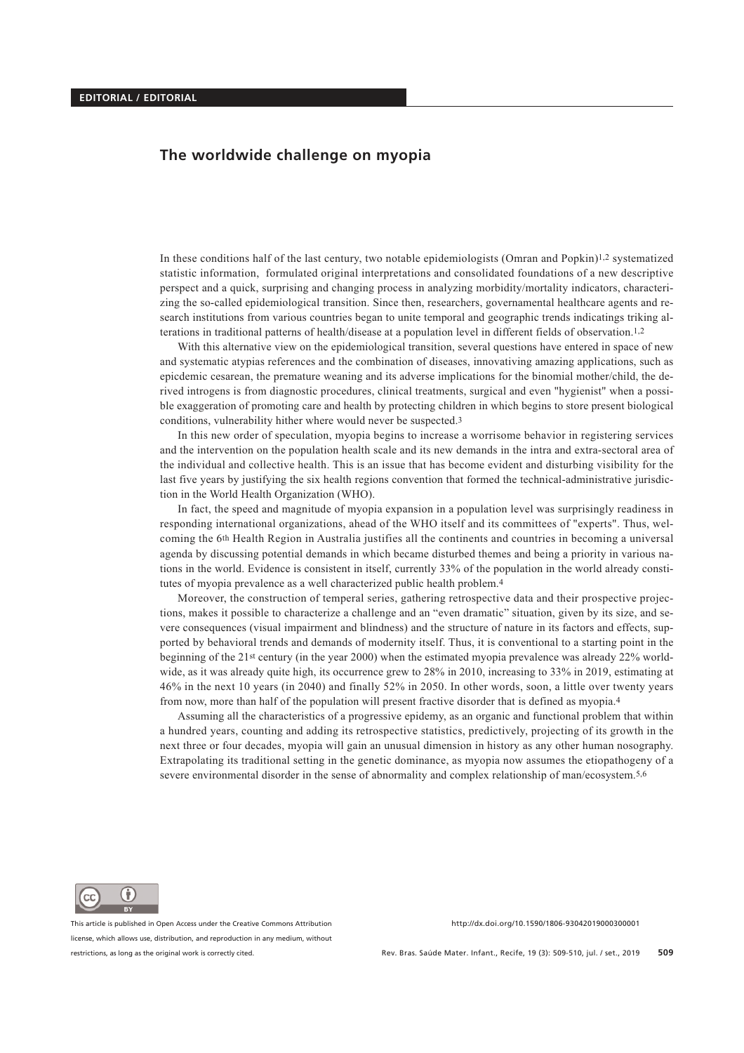## **The worldwide challenge on myopia**

In these conditions half of the last century, two notable epidemiologists (Omran and Popkin)1,2 systematized statistic information, formulated original interpretations and consolidated foundations of a new descriptive perspect and a quick, surprising and changing process in analyzing morbidity/mortality indicators, characterizing the so-called epidemiological transition. Since then, researchers, governamental healthcare agents and research institutions from various countries began to unite temporal and geographic trends indicatings triking alterations in traditional patterns of health/disease at a population level in different fields of observation.1,2

With this alternative view on the epidemiological transition, several questions have entered in space of new and systematic atypias references and the combination of diseases, innovativing amazing applications, such as epicdemic cesarean, the premature weaning and its adverse implications for the binomial mother/child, the derived introgens is from diagnostic procedures, clinical treatments, surgical and even "hygienist" when a possible exaggeration of promoting care and health by protecting children in which begins to store present biological conditions, vulnerability hither where would never be suspected.3

In this new order of speculation, myopia begins to increase a worrisome behavior in registering services and the intervention on the population health scale and its new demands in the intra and extra-sectoral area of the individual and collective health. This is an issue that has become evident and disturbing visibility for the last five years by justifying the six health regions convention that formed the technical-administrative jurisdiction in the World Health Organization (WHO).

In fact, the speed and magnitude of myopia expansion in a population level was surprisingly readiness in responding international organizations, ahead of the WHO itself and its committees of "experts". Thus, welcoming the 6th Health Region in Australia justifies all the continents and countries in becoming a universal agenda by discussing potential demands in which became disturbed themes and being a priority in various nations in the world. Evidence is consistent in itself, currently 33% of the population in the world already constitutes of myopia prevalence as a well characterized public health problem.4

Moreover, the construction of temperal series, gathering retrospective data and their prospective projections, makes it possible to characterize a challenge and an "even dramatic" situation, given by its size, and severe consequences (visual impairment and blindness) and the structure of nature in its factors and effects, supported by behavioral trends and demands of modernity itself. Thus, it is conventional to a starting point in the beginning of the 21st century (in the year 2000) when the estimated myopia prevalence was already 22% worldwide, as it was already quite high, its occurrence grew to 28% in 2010, increasing to 33% in 2019, estimating at 46% in the next 10 years (in 2040) and finally 52% in 2050. In other words, soon, a little over twenty years from now, more than half of the population will present fractive disorder that is defined as myopia.4

Assuming all the characteristics of a progressive epidemy, as an organic and functional problem that within a hundred years, counting and adding its retrospective statistics, predictively, projecting of its growth in the next three or four decades, myopia will gain an unusual dimension in history as any other human nosography. Extrapolating its traditional setting in the genetic dominance, as myopia now assumes the etiopathogeny of a severe environmental disorder in the sense of abnormality and complex relationship of man/ecosystem.5,6



This article is published in Open Access under the Creative Commons Attribution http://dx.doi.org/10.1590/1806-93042019000300001 license, which allows use, distribution, and reproduction in any medium, without restrictions, as long as the original work is correctly cited.